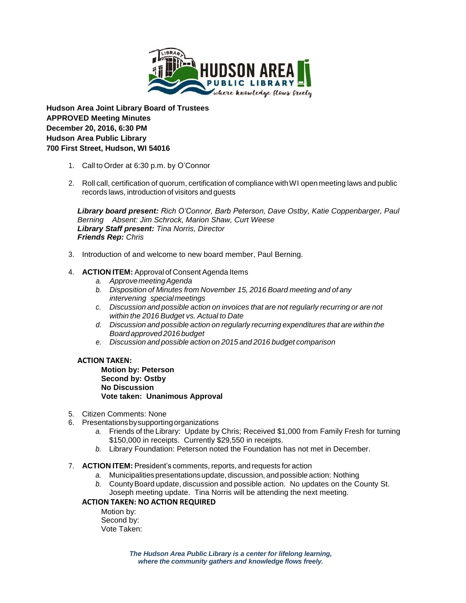

**Hudson Area Joint Library Board of Trustees APPROVED Meeting Minutes December 20, 2016, 6:30 PM Hudson Area Public Library 700 First Street, Hudson, WI 54016**

- 1. Call to Order at 6:30 p.m. by O'Connor
- 2. Roll call, certification of quorum, certification of compliance withWI open meeting laws and public records laws, introduction of visitors and guests

*Library board present: Rich O'Connor, Barb Peterson, Dave Ostby, Katie Coppenbarger, Paul Berning Absent: Jim Schrock, Marion Shaw, Curt Weese Library Staff present: Tina Norris, Director Friends Rep: Chris*

3. Introduction of and welcome to new board member, Paul Berning.

## 4. **ACTION ITEM:** Approval of Consent Agenda Items

- *a. ApprovemeetingAgenda*
- *b. Disposition of Minutes from November 15, 2016 Board meeting and of any intervening special meetings*
- *c. Discussion and possible action on invoices that are not regularly recurring or are not within the 2016 Budget vs. Actual to Date*
- *d. Discussion and possible action on regularly recurring expenditures that are within the Board approved 2016 budget*
- *e. Discussion and possible action on 2015 and 2016 budget comparison*

### **ACTION TAKEN:**

**Motion by: Peterson Second by: Ostby No Discussion Vote taken: Unanimous Approval**

- 5. Citizen Comments: None
- 6. Presentationsbysupportingorganizations
	- *a.* Friends of the Library: Update by Chris; Received \$1,000 from Family Fresh for turning \$150,000 in receipts. Currently \$29,550 in receipts.
	- *b.* Library Foundation: Peterson noted the Foundation has not met in December.

### 7. **ACTION ITEM:** President's comments, reports, andrequests for action

- *a.* Municipalitiespresentationsupdate, discussion, and possible action: Nothing
- *b.* CountyBoard update, discussion and possible action. No updates on the County St. Joseph meeting update. Tina Norris will be attending the next meeting.

# **ACTION TAKEN: NO ACTION REQUIRED**

Motion by: Second by: Vote Taken:

> *The Hudson Area Public Library is a center for lifelong learning, where the community gathers and knowledge flows freely.*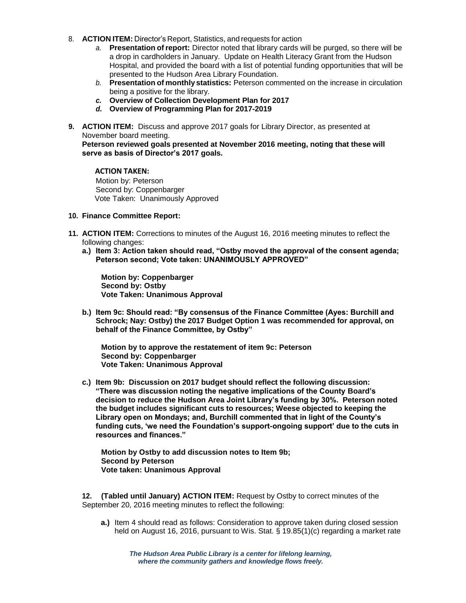- 8. **ACTION ITEM:** Director's Report, Statistics, and requests for action
	- *a.* **Presentation ofreport:** Director noted that library cards will be purged, so there will be a drop in cardholders in January. Update on Health Literacy Grant from the Hudson Hospital, and provided the board with a list of potential funding opportunities that will be presented to the Hudson Area Library Foundation.
	- *b.* **Presentation of monthly statistics:** Peterson commented on the increase in circulation being a positive for the library.
	- *c.* **Overview of Collection Development Plan for 2017**
	- *d.* **Overview of Programming Plan for 2017-2019**
- **9. ACTION ITEM:** Discuss and approve 2017 goals for Library Director, as presented at November board meeting.
	- **Peterson reviewed goals presented at November 2016 meeting, noting that these will serve as basis of Director's 2017 goals.**

#### **ACTION TAKEN:**

Motion by: Peterson Second by: Coppenbarger Vote Taken: Unanimously Approved

### **10. Finance Committee Report:**

- **11. ACTION ITEM:** Corrections to minutes of the August 16, 2016 meeting minutes to reflect the following changes:
	- **a.) Item 3: Action taken should read, "Ostby moved the approval of the consent agenda; Peterson second; Vote taken: UNANIMOUSLY APPROVED"**

**Motion by: Coppenbarger Second by: Ostby Vote Taken: Unanimous Approval**

**b.) Item 9c: Should read: "By consensus of the Finance Committee (Ayes: Burchill and Schrock; Nay: Ostby) the 2017 Budget Option 1 was recommended for approval, on behalf of the Finance Committee, by Ostby"** 

**Motion by to approve the restatement of item 9c: Peterson Second by: Coppenbarger Vote Taken: Unanimous Approval**

**c.) Item 9b: Discussion on 2017 budget should reflect the following discussion: "There was discussion noting the negative implications of the County Board's decision to reduce the Hudson Area Joint Library's funding by 30%. Peterson noted the budget includes significant cuts to resources; Weese objected to keeping the Library open on Mondays; and, Burchill commented that in light of the County's funding cuts, 'we need the Foundation's support-ongoing support' due to the cuts in resources and finances."**

**Motion by Ostby to add discussion notes to Item 9b; Second by Peterson Vote taken: Unanimous Approval**

**12. (Tabled until January) ACTION ITEM:** Request by Ostby to correct minutes of the September 20, 2016 meeting minutes to reflect the following:

**a.)** Item 4 should read as follows: Consideration to approve taken during closed session held on August 16, 2016, pursuant to Wis. Stat. § 19.85(1)(c) regarding a market rate

*The Hudson Area Public Library is a center for lifelong learning, where the community gathers and knowledge flows freely.*